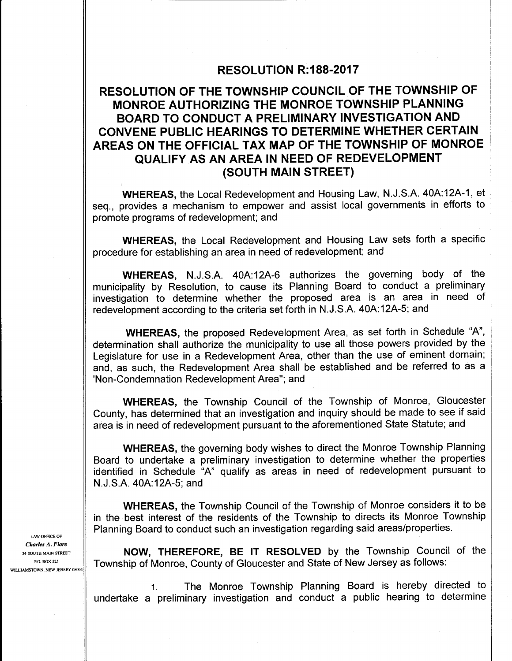## RESOLUTION R: 188-2017

# RESOLUTION OF THE TOWNSHIP COUNCIL OF THE TOWNSHIP OF MONROE AUTHORIZING THE MONROE TOWNSHIP PLANNING BOARD TO CONDUCT A PRELIMINARY INVESTIGATION AND CONVENE PUBLIC HEARINGS TO DETERMINE WHETHER CERTAIN AREAS ON THE OFFICIAL TAX MAP OF THE TOWNSHIP OF MONROE QUALIFY AS AN AREA IN NEED OF REDEVELOPMENT SOUTH MAIN STREET)

WHEREAS, the Local Redevelopment and Housing Law, N.J.S.A. 40A:12A-1, et seq., provides <sup>a</sup> mechanism to empower and assist local governments in efforts to promote programs of redevelopment; and

WHEREAS, the Local Redevelopment and Housing Law sets forth a specific procedure for establishing an area in need of redevelopment; and

WHEREAS, N.J.S.A. 40A:12A-6 authorizes the governing body of the municipality by Resolution, to cause its Planning Board to conduct a preliminary investigation to determine whether the proposed area is an area in need of redevelopment according to the criteria set forth in N. J. S.A. 40A:12A-5; and

WHEREAS, the proposed Redevelopment Area, as set forth in Schedule "A", determination shall authorize the municipality to use all those powers provided by the Legislature for use in a Redevelopment Area, other than the use of eminent domain; and, as such, the Redevelopment Area shall be established and be referred to as a 'Non-Condemnation Redevelopment Area"; and

WHEREAS, the Township Council of the Township of Monroe, Gloucester County, has determined that an investigation and inquiry should be made to see if said area is in need of redevelopment pursuant to the aforementioned State Statute; and

WHEREAS, the governing body wishes to direct the Monroe Township Planning Board to undertake a preliminary investigation to determine whether the properties identified in Schedule "A" qualify as areas in need of redevelopment pursuant to N. J. S.A. 40A:12A-5; and

WHEREAS, the Township Council of the Township of Monroe considers it to be in the best interest of the residents of the Township to directs its Monroe Township Planning Board to conduct such an investigation regarding said areas/properties.

34 SOUTH MAIN STREET **NOW, THEREFORE, BE IT RESOLVED** by the Township Council of the Township of Monroe, County of Gloucester and State of New Jersey as follows:

> 1. The Monroe Township Planning Board is hereby directed to undertake <sup>a</sup> preliminary investigation and conduct <sup>a</sup> public hearing to determine

LAW OFFICE OF Charles A. Fiore WILLIAMSTOWN, NEW JERSEY 08094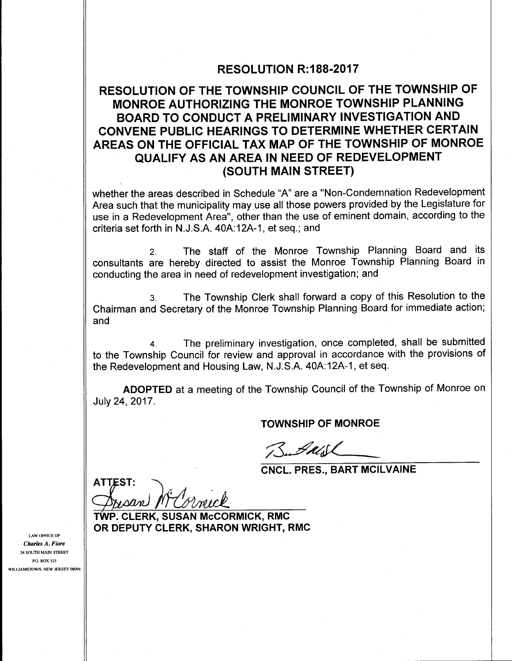### RESOLUTION R: 188-2017

# RESOLUTION OF THE TOWNSHIP COUNCIL OF THE TOWNSHIP OF MONROE AUTHORIZING THE MONROE TOWNSHIP PLANNING BOARD TO CONDUCT A PRELIMINARY INVESTIGATION AND CONVENE PUBLIC HEARINGS TO DETERMINE WHETHER CERTAIN AREAS ON THE OFFICIAL TAX MAP OF THE TOWNSHIP OF MONROE QUALIFY AS AN AREA IN NEED OF REDEVELOPMENT SOUTH MAIN STREET)

whether the areas described in Schedule "A" are a " Non- Condemnation Redevelopment Area such that the municipality may use all those powers provided by the Legislature for use in a Redevelopment Area", other than the use of eminent domain, according to the criteria set forth in N. J. S.A. 40A: 12A- 1, et seq.; and

2. The staff of the Monroe Township Planning Board and its consultants are hereby directed to assist the Monroe Township Planning Board in conducting the area in need of redevelopment investigation; and

3. The Township Clerk shall forward a copy of this Resolution to the Chairman and Secretary of the Monroe Township Planning Board for immediate action; and

4. The preliminary investigation, once completed, shall be submitted to the Township Council for review and approval in accordance with the provisions of the Redevelopment and Housing Law, N.J.S.A. 40A:12A-1, et seq.

ADOPTED at a meeting of the Township Council of the Township of Monroe on July 24, 2017.

TOWNSHIP OF MONROE

Butall

CNCL. PRES., BART MCILVAINE

**ATTEST:** NAAN

TWP. CLERK, SUSAN McCORMICK, RMC OR DEPUTY CLERK, SHARON WRIGHT, RMC

LAW OFFICE OF Charles A. Fiore 34 SOUTH MAIN STREET P.O. BOX 525 WILLIAMSTOWN, NEW JERSEY 08094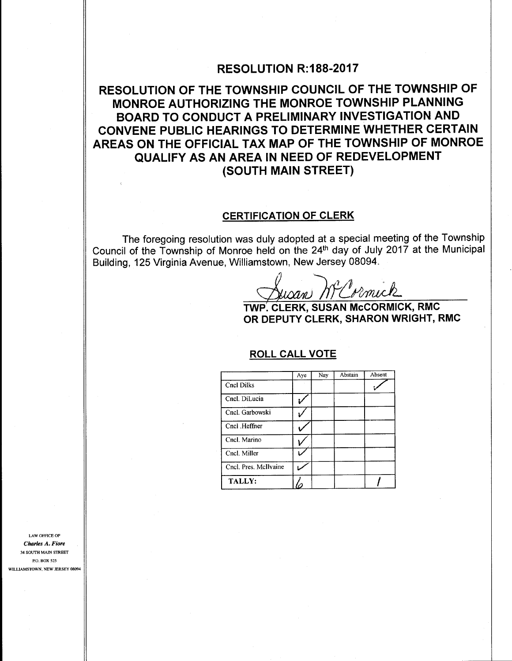### RESOLUTION R: 188-2017

# RESOLUTION OF THE TOWNSHIP COUNCIL OF THE TOWNSHIP OF MONROE AUTHORIZING THE MONROE TOWNSHIP PLANNING BOARD TO CONDUCT A PRELIMINARY INVESTIGATION AND CONVENE PUBLIC HEARINGS TO DETERMINE WHETHER CERTAIN AREAS ON THE OFFICIAL TAX MAP OF THE TOWNSHIP OF MONROE QUALIFY AS AN AREA IN NEED OF REDEVELOPMENT SOUTH MAIN STREET)

#### CERTIFICATION OF CLERK

The foregoing resolution was duly adopted at a special meeting of the Township Council of the Township of Monroe held on the 24th day of July <sup>2017</sup> at the Municipal Building, 125 Virginia Avenue, Williamstown, New Jersey 08094.

112PvinicA.

TWP. CLERK, SUSAN McCORMICK, RMC OR DEPUTY CLERK, SHARON WRIGHT, RMC

### ROLL CALL VOTE

|                       | Aye | Nay | Abstain | Absent. |
|-----------------------|-----|-----|---------|---------|
| Cncl Dilks            |     |     |         |         |
| Cncl. DiLucia         |     |     |         |         |
| Cncl. Garbowski       |     |     |         |         |
| Cncl Heffner          |     |     |         |         |
| Cncl. Marino          |     |     |         |         |
| Cncl. Miller          |     |     |         |         |
| Cncl. Pres. McIlvaine |     |     |         |         |
| <b>TALLY:</b>         |     |     |         |         |

LAW OFFICE OF Charles A. Fiore 34 SOUTH MAIN STREET P.O. BOX 525 WILLIAMSTOWN, NEW JERSEY 08094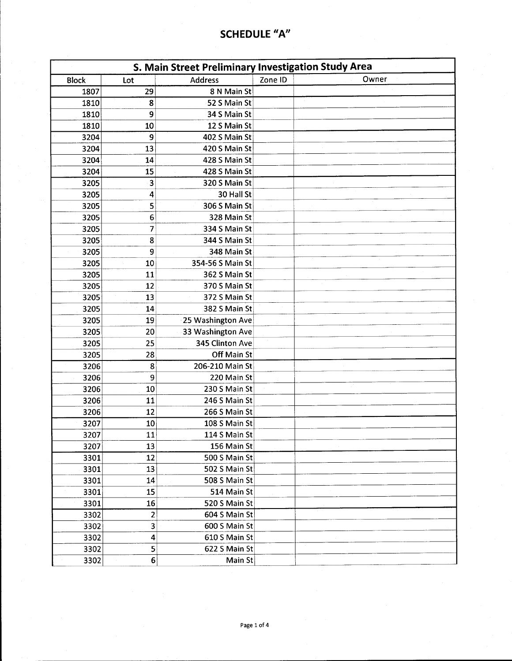| S. Main Street Preliminary Investigation Study Area |                         |                   |         |       |
|-----------------------------------------------------|-------------------------|-------------------|---------|-------|
| <b>Block</b>                                        | Lot                     | <b>Address</b>    | Zone ID | Owner |
| 1807                                                | 29                      | 8 N Main St       |         |       |
| 1810                                                | 8                       | 52 S Main St      |         |       |
| 1810                                                | 9                       | 34 S Main St      |         |       |
| 1810                                                | 10                      | 12 S Main St      |         |       |
| 3204                                                | 9                       | 402 S Main St     |         |       |
| 3204                                                | 13                      | 420 S Main St     |         |       |
| 3204                                                | 14                      | 428 S Main St     |         |       |
| 3204                                                | 15                      | 428 S Main St     |         |       |
| 3205                                                | 3                       | 320 S Main St     |         |       |
| 3205                                                | 4                       | 30 Hall St        |         |       |
| 3205                                                | 5                       | 306 S Main St     |         |       |
| 3205                                                | 6                       | 328 Main St       |         |       |
| 3205                                                | 7                       | 334 S Main St     |         |       |
| 3205                                                | 8                       | 344 S Main St     |         |       |
| 3205                                                | 9                       | 348 Main St       |         |       |
| 3205                                                | 10                      | 354-56 S Main St  |         |       |
| 3205                                                | 11                      | 362 S Main St     |         |       |
| 3205                                                | 12                      | 370 S Main St     |         |       |
| 3205                                                | 13                      | 372 S Main St     |         |       |
| 3205                                                | 14                      | 382 S Main St     |         |       |
| 3205                                                | 19                      | 25 Washington Ave |         |       |
| 3205                                                | 20                      | 33 Washington Ave |         |       |
| 3205                                                | 25                      | 345 Clinton Ave   |         |       |
| 3205                                                | 28                      | Off Main St       |         |       |
| 3206                                                | 8                       | 206-210 Main St   |         |       |
| 3206                                                | 9                       | 220 Main St       |         |       |
| 3206                                                | 10                      | 230 S Main St     |         |       |
| 3206                                                | 11                      | 246 S Main St     |         |       |
| 3206                                                | 12                      | 266 S Main St     |         |       |
| 3207                                                | 10                      | 108 S Main St     |         |       |
| 3207                                                | $\overline{11}$         | 114 S Main St     |         |       |
| 3207                                                | 13                      | 156 Main St       |         |       |
| 3301                                                | 12                      | 500 S Main St     |         |       |
| 3301                                                | 13                      | 502 S Main St     |         |       |
| 3301                                                | 14                      | 508 S Main St     |         |       |
| 3301                                                | 15                      | 514 Main St       |         |       |
| 3301                                                | 16                      | 520 S Main St     |         |       |
| 3302                                                | $\overline{2}$          | 604 S Main St     |         |       |
| 3302                                                | $\overline{\mathbf{3}}$ | 600 S Main St     |         |       |
| 3302                                                | 4                       | 610 S Main St     |         |       |
| 3302                                                | 5                       | 622 S Main St     |         |       |
| 3302                                                | $\bf 6$                 | Main St           |         |       |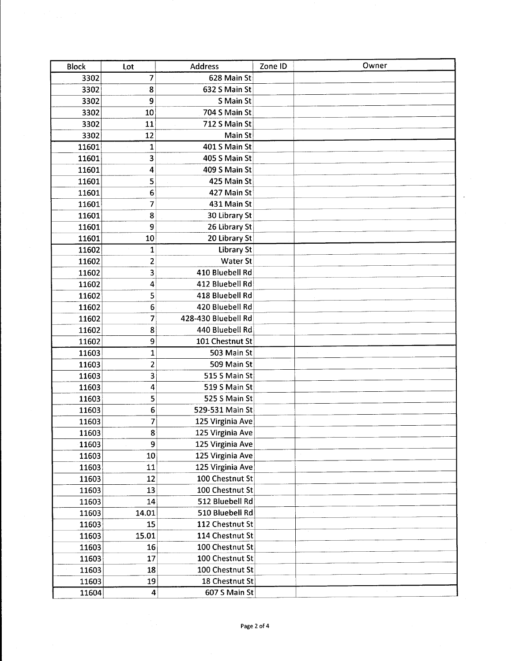| <b>Block</b> | Lot                     | <b>Address</b>      | Zone ID | Owner |
|--------------|-------------------------|---------------------|---------|-------|
| 3302         | 7                       | 628 Main St         |         |       |
| 3302         | 8                       | 632 S Main St       |         |       |
| 3302         | 9                       | S Main St           |         |       |
| 3302         | 10                      | 704 S Main St       |         |       |
| 3302         | 11                      | 712 S Main St       |         |       |
| 3302         | 12                      | Main St             |         |       |
| 11601        | 1                       | 401 S Main St       |         |       |
| 11601        | 3                       | 405 S Main St       |         |       |
| 11601        | 4                       | 409 S Main St       |         |       |
| 11601        | 5                       | 425 Main St         |         |       |
| 11601        | 6                       | 427 Main St         |         |       |
| 11601        | 7                       | 431 Main St         |         |       |
| 11601        | 8                       | 30 Library St       |         |       |
| 11601        | 9                       | 26 Library St       |         |       |
| 11601        | 10                      | 20 Library St       |         |       |
| 11602        | $\mathbf{1}$            | <b>Library St</b>   |         |       |
| 11602        | $\overline{\mathbf{c}}$ | <b>Water St</b>     |         |       |
| 11602        | 3                       | 410 Bluebell Rd     |         |       |
| 11602        | 4                       | 412 Bluebell Rd     |         |       |
| 11602        | 5                       | 418 Bluebell Rd     |         |       |
| 11602        | 6                       | 420 Bluebell Rd     |         |       |
| 11602        | 7                       | 428-430 Bluebell Rd |         |       |
| 11602        | 8                       | 440 Bluebell Rd     |         |       |
| 11602        | 9                       | 101 Chestnut St     |         |       |
| 11603        | $\mathbf 1$             | 503 Main St         |         |       |
| 11603        | $\overline{\mathbf{c}}$ | 509 Main St         |         |       |
| 11603        | 3                       | 515 S Main St       |         |       |
| 11603        | 4                       | 519 S Main St       |         |       |
| 11603        | 5                       | 525 S Main St       |         |       |
| 11603        | 6                       | 529-531 Main St     |         |       |
| 11603        | 7                       | 125 Virginia Ave    |         |       |
| 11603        | 8                       | 125 Virginia Ave    |         |       |
| 11603        | 9                       | 125 Virginia Ave    |         |       |
| 11603        | $10\,$                  | 125 Virginia Ave    |         |       |
| 11603        | 11                      | 125 Virginia Ave    |         |       |
| 11603        | 12                      | 100 Chestnut St     |         |       |
| 11603        | 13                      | 100 Chestnut St     |         |       |
| 11603        | 14                      | 512 Bluebell Rd     |         |       |
| 11603        | 14.01                   | 510 Bluebell Rd     |         |       |
| 11603        | 15                      | 112 Chestnut St     |         |       |
| 11603        | 15.01                   | 114 Chestnut St     |         |       |
| 11603        | 16                      | 100 Chestnut St     |         |       |
| 11603        | 17                      | 100 Chestnut St     |         |       |
| 11603        | 18                      | 100 Chestnut St     |         |       |
| 11603        | 19                      | 18 Chestnut St      |         |       |
| 11604        | $\overline{\mathbf{4}}$ | 607 S Main St       |         |       |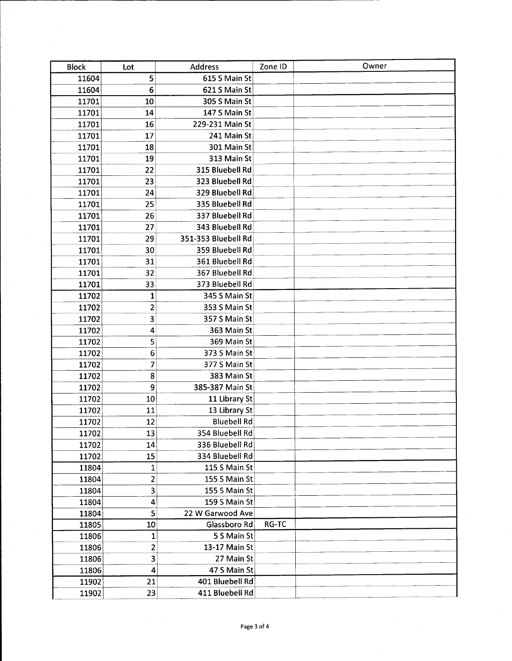| <b>Block</b> | Lot                     | <b>Address</b>      | Zone ID | Owner |
|--------------|-------------------------|---------------------|---------|-------|
| 11604        | 5                       | 615 S Main St       |         |       |
| 11604        | 6                       | 621 S Main St       |         |       |
| 11701        | 10                      | 305 S Main St       |         |       |
| 11701        | 14                      | 147 S Main St       |         |       |
| 11701        | 16                      | 229-231 Main St     |         |       |
| 11701        | 17                      | 241 Main St         |         |       |
| 11701        | 18                      | 301 Main St         |         |       |
| 11701        | 19                      | 313 Main St         |         |       |
| 11701        | 22                      | 315 Bluebell Rd     |         |       |
| 11701        | 23                      | 323 Bluebell Rd     |         |       |
| 11701        | 24                      | 329 Bluebell Rd     |         |       |
| 11701        | 25                      | 335 Bluebell Rd     |         |       |
| 11701        | 26                      | 337 Bluebell Rd     |         |       |
| 11701        | 27                      | 343 Bluebell Rd     |         |       |
| 11701        | 29                      | 351-353 Bluebell Rd |         |       |
| 11701        | 30                      | 359 Bluebell Rd     |         |       |
| 11701        | 31                      | 361 Bluebell Rd     |         |       |
| 11701        | 32                      | 367 Bluebell Rd     |         |       |
| 11701        | 33                      | 373 Bluebell Rd     |         |       |
| 11702        | $\mathbf{1}$            | 345 S Main St       |         |       |
| 11702        | $\overline{\mathbf{c}}$ | 353 S Main St       |         |       |
| 11702        | 3                       | 357 S Main St       |         |       |
| 11702        | 4                       | 363 Main St         |         |       |
| 11702        | 5                       | 369 Main St         |         |       |
| 11702        | 6                       | 373 S Main St       |         |       |
| 11702        | 7                       | 377 S Main St       |         |       |
| 11702        | 8                       | 383 Main St         |         |       |
| 11702        | 9                       | 385-387 Main St     |         |       |
| 11702        | 10                      | 11 Library St       |         |       |
| 11702        | 11                      | 13 Library St       |         |       |
| 11702        | 12                      | <b>Bluebell Rd</b>  |         |       |
| 11702        | 13                      | 354 Bluebell Rd     |         |       |
| 11702        | 14                      | 336 Bluebell Rd     |         |       |
| 11702        | 15                      | 334 Bluebell Rd     |         |       |
| 11804        | $\mathbf 1$             | 115 S Main St       |         |       |
| 11804        | 2                       | 155 S Main St       |         |       |
| 11804        | 3                       | 155 S Main St       |         |       |
| 11804        | 4                       | 159 S Main St       |         |       |
| 11804        | 5                       | 22 W Garwood Ave    |         |       |
| 11805        | 10                      | Glassboro Rd        | RG-TC   |       |
| 11806        | 1                       | 5 S Main St         |         |       |
| 11806        | 2                       | 13-17 Main St       |         |       |
| 11806        | 3                       | 27 Main St          |         |       |
| 11806        | 4                       | 47 S Main St        |         |       |
| 11902        | 21                      | 401 Bluebell Rd     |         |       |
| 11902        | 23                      | 411 Bluebell Rd     |         |       |